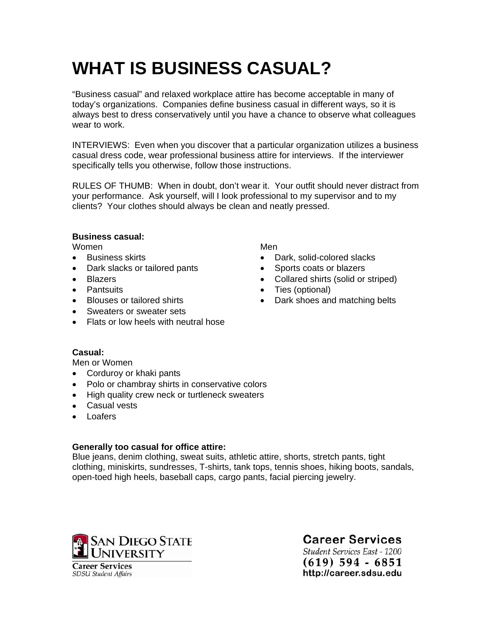# **WHAT IS BUSINESS CASUAL?**

"Business casual" and relaxed workplace attire has become acceptable in many of today's organizations. Companies define business casual in different ways, so it is always best to dress conservatively until you have a chance to observe what colleagues wear to work.

INTERVIEWS: Even when you discover that a particular organization utilizes a business casual dress code, wear professional business attire for interviews. If the interviewer specifically tells you otherwise, follow those instructions.

RULES OF THUMB: When in doubt, don't wear it. Your outfit should never distract from your performance. Ask yourself, will I look professional to my supervisor and to my clients? Your clothes should always be clean and neatly pressed.

#### **Business casual:**

Women

- Business skirts
- Dark slacks or tailored pants
- Blazers
- Pantsuits
- Blouses or tailored shirts
- Sweaters or sweater sets
- Flats or low heels with neutral hose

Men

- Dark, solid-colored slacks
- Sports coats or blazers
- Collared shirts (solid or striped)
- Ties (optional)
- Dark shoes and matching belts

### **Casual:**

Men or Women

- Corduroy or khaki pants
- Polo or chambray shirts in conservative colors
- High quality crew neck or turtleneck sweaters
- Casual vests
- Loafers

### **Generally too casual for office attire:**

Blue jeans, denim clothing, sweat suits, athletic attire, shorts, stretch pants, tight clothing, miniskirts, sundresses, T-shirts, tank tops, tennis shoes, hiking boots, sandals, open-toed high heels, baseball caps, cargo pants, facial piercing jewelry.



**Career Services** 

Student Services East - 1200  $(619)$  594 - 6851 http://career.sdsu.edu